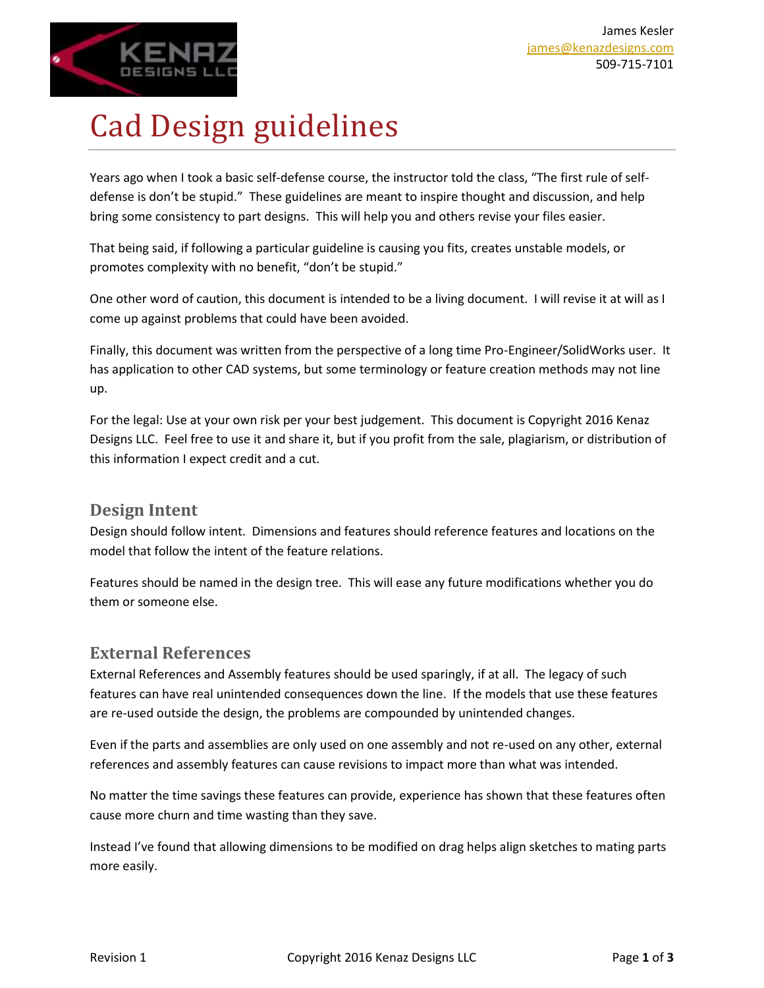

# Cad Design guidelines

Years ago when I took a basic self-defense course, the instructor told the class, "The first rule of selfdefense is don't be stupid." These guidelines are meant to inspire thought and discussion, and help bring some consistency to part designs. This will help you and others revise your files easier.

That being said, if following a particular guideline is causing you fits, creates unstable models, or promotes complexity with no benefit, "don't be stupid."

One other word of caution, this document is intended to be a living document. I will revise it at will as I come up against problems that could have been avoided.

Finally, this document was written from the perspective of a long time Pro-Engineer/SolidWorks user. It has application to other CAD systems, but some terminology or feature creation methods may not line up.

For the legal: Use at your own risk per your best judgement. This document is Copyright 2016 Kenaz Designs LLC. Feel free to use it and share it, but if you profit from the sale, plagiarism, or distribution of this information I expect credit and a cut.

## **Design Intent**

Design should follow intent. Dimensions and features should reference features and locations on the model that follow the intent of the feature relations.

Features should be named in the design tree. This will ease any future modifications whether you do them or someone else.

## **External References**

External References and Assembly features should be used sparingly, if at all. The legacy of such features can have real unintended consequences down the line. If the models that use these features are re-used outside the design, the problems are compounded by unintended changes.

Even if the parts and assemblies are only used on one assembly and not re-used on any other, external references and assembly features can cause revisions to impact more than what was intended.

No matter the time savings these features can provide, experience has shown that these features often cause more churn and time wasting than they save.

Instead I've found that allowing dimensions to be modified on drag helps align sketches to mating parts more easily.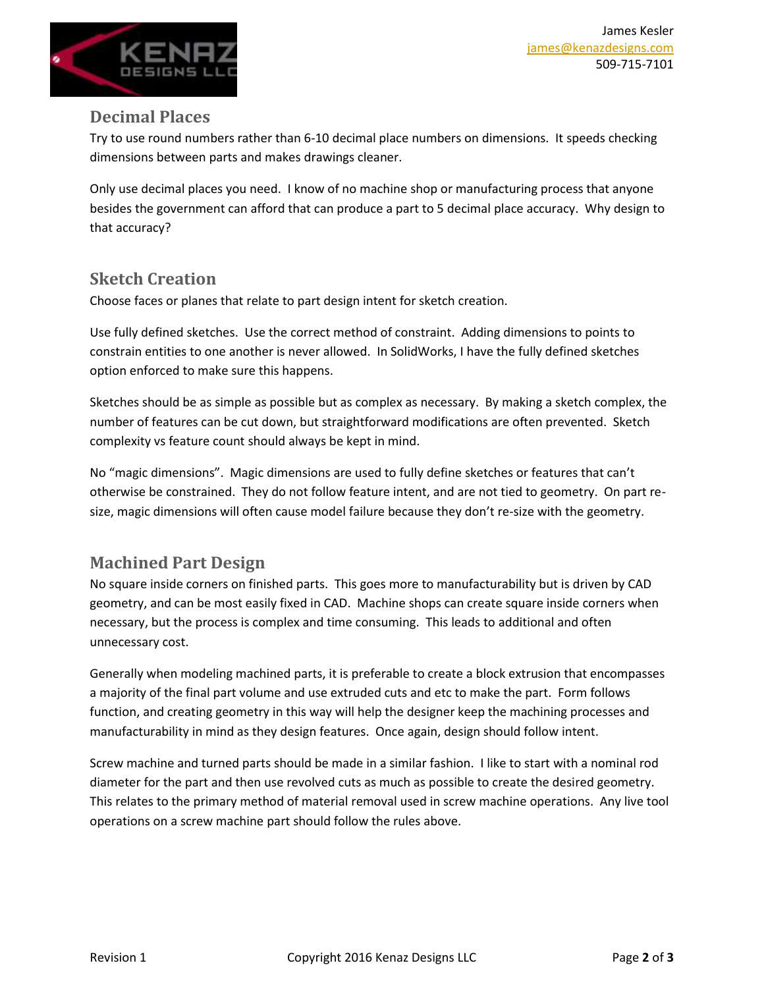

#### **Decimal Places**

Try to use round numbers rather than 6-10 decimal place numbers on dimensions. It speeds checking dimensions between parts and makes drawings cleaner.

Only use decimal places you need. I know of no machine shop or manufacturing process that anyone besides the government can afford that can produce a part to 5 decimal place accuracy. Why design to that accuracy?

# **Sketch Creation**

Choose faces or planes that relate to part design intent for sketch creation.

Use fully defined sketches. Use the correct method of constraint. Adding dimensions to points to constrain entities to one another is never allowed. In SolidWorks, I have the fully defined sketches option enforced to make sure this happens.

Sketches should be as simple as possible but as complex as necessary. By making a sketch complex, the number of features can be cut down, but straightforward modifications are often prevented. Sketch complexity vs feature count should always be kept in mind.

No "magic dimensions". Magic dimensions are used to fully define sketches or features that can't otherwise be constrained. They do not follow feature intent, and are not tied to geometry. On part resize, magic dimensions will often cause model failure because they don't re-size with the geometry.

## **Machined Part Design**

No square inside corners on finished parts. This goes more to manufacturability but is driven by CAD geometry, and can be most easily fixed in CAD. Machine shops can create square inside corners when necessary, but the process is complex and time consuming. This leads to additional and often unnecessary cost.

Generally when modeling machined parts, it is preferable to create a block extrusion that encompasses a majority of the final part volume and use extruded cuts and etc to make the part. Form follows function, and creating geometry in this way will help the designer keep the machining processes and manufacturability in mind as they design features. Once again, design should follow intent.

Screw machine and turned parts should be made in a similar fashion. I like to start with a nominal rod diameter for the part and then use revolved cuts as much as possible to create the desired geometry. This relates to the primary method of material removal used in screw machine operations. Any live tool operations on a screw machine part should follow the rules above.